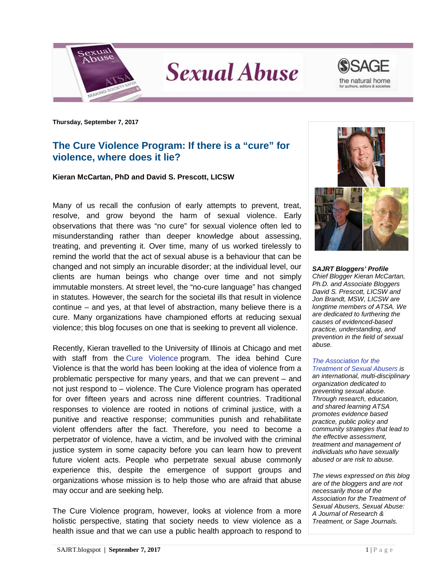

**Sexual Abuse** 



**Thursday, September 7, 2017**

## **The Cure Violence Program: If there is a "cure" for violence, where does it lie?**

## **Kieran McCartan, PhD and David S. Prescott, LICSW**

Many of us recall the confusion of early attempts to prevent, treat, resolve, and grow beyond the harm of sexual violence. Early observations that there was "no cure" for sexual violence often led to misunderstanding rather than deeper knowledge about assessing, treating, and preventing it. Over time, many of us worked tirelessly to remind the world that the act of sexual abuse is a behaviour that can be changed and not simply an incurable disorder; at the individual level, our clients are human beings who change over time and not simply immutable monsters. At street level, the "no-cure language" has changed in statutes. However, the search for the societal ills that result in violence continue – and yes, at that level of abstraction, many believe there is a cure. Many organizations have championed efforts at reducing sexual violence; this blog focuses on one that is seeking to prevent all violence.

Recently, Kieran travelled to the University of Illinois at Chicago and met with staff from the [Cure Violence](http://www.google.co.uk/url?sa=t&rct=j&q=&esrc=s&source=web&cd=1&ved=0ahUKEwiIkfSckI7WAhUsKcAKHT49B24QFggoMAA&url=http%3A%2F%2Fcureviolence.org%2F&usg=AFQjCNFp2NSA6BMTQMWVSo7UPzbC_QEahg) program. The idea behind Cure Violence is that the world has been looking at the idea of violence from a problematic perspective for many years, and that we can prevent – and not just respond to – violence. The Cure Violence program has operated for over fifteen years and across nine different countries. Traditional responses to violence are rooted in notions of criminal justice, with a punitive and reactive response; communities punish and rehabilitate violent offenders after the fact. Therefore, you need to become a perpetrator of violence, have a victim, and be involved with the criminal justice system in some capacity before you can learn how to prevent future violent acts. People who perpetrate sexual abuse commonly experience this, despite the emergence of support groups and organizations whose mission is to help those who are afraid that abuse may occur and are seeking help.

The Cure Violence program, however, looks at violence from a more holistic perspective, stating that society needs to view violence as a health issue and that we can use a public health approach to respond to



*SAJRT Bloggers' Profile Chief Blogger Kieran McCartan, Ph.D. and Associate Bloggers David S. Prescott, LICSW and Jon Brandt, MSW, LICSW are longtime members of ATSA. We are dedicated to furthering the causes of evidenced-based practice, understanding, and prevention in the field of sexual abuse.*

## *[The Association for the](http://atsa.com/)*

*[Treatment of Sexual Abusers](http://atsa.com/) is an international, multi-disciplinary organization dedicated to preventing sexual abuse. Through research, education, and shared learning ATSA promotes evidence based practice, public policy and community strategies that lead to the effective assessment, treatment and management of individuals who have sexually abused or are risk to abuse.* 

*The views expressed on this blog are of the bloggers and are not necessarily those of the Association for the Treatment of Sexual Abusers, Sexual Abuse: A Journal of Research & Treatment, or Sage Journals.*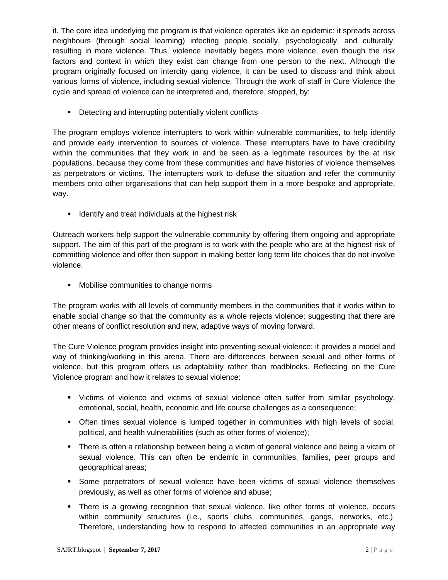it. The core idea underlying the program is that violence operates like an epidemic: it spreads across neighbours (through social learning) infecting people socially, psychologically, and culturally, resulting in more violence. Thus, violence inevitably begets more violence, even though the risk factors and context in which they exist can change from one person to the next. Although the program originally focused on intercity gang violence, it can be used to discuss and think about various forms of violence, including sexual violence. Through the work of staff in Cure Violence the cycle and spread of violence can be interpreted and, therefore, stopped, by:

• Detecting and interrupting potentially violent conflicts

The program employs violence interrupters to work within vulnerable communities, to help identify and provide early intervention to sources of violence. These interrupters have to have credibility within the communities that they work in and be seen as a legitimate resources by the at risk populations, because they come from these communities and have histories of violence themselves as perpetrators or victims. The interrupters work to defuse the situation and refer the community members onto other organisations that can help support them in a more bespoke and appropriate, way.

**If identify and treat individuals at the highest risk** 

Outreach workers help support the vulnerable community by offering them ongoing and appropriate support. The aim of this part of the program is to work with the people who are at the highest risk of committing violence and offer then support in making better long term life choices that do not involve violence.

**Mobilise communities to change norms** 

The program works with all levels of community members in the communities that it works within to enable social change so that the community as a whole rejects violence; suggesting that there are other means of conflict resolution and new, adaptive ways of moving forward.

The Cure Violence program provides insight into preventing sexual violence; it provides a model and way of thinking/working in this arena. There are differences between sexual and other forms of violence, but this program offers us adaptability rather than roadblocks. Reflecting on the Cure Violence program and how it relates to sexual violence:

- Victims of violence and victims of sexual violence often suffer from similar psychology, emotional, social, health, economic and life course challenges as a consequence;
- Often times sexual violence is lumped together in communities with high levels of social, political, and health vulnerabilities (such as other forms of violence);
- **There is often a relationship between being a victim of general violence and being a victim of** sexual violence. This can often be endemic in communities, families, peer groups and geographical areas;
- Some perpetrators of sexual violence have been victims of sexual violence themselves previously, as well as other forms of violence and abuse;
- There is a growing recognition that sexual violence, like other forms of violence, occurs within community structures (i.e., sports clubs, communities, gangs, networks, etc.). Therefore, understanding how to respond to affected communities in an appropriate way